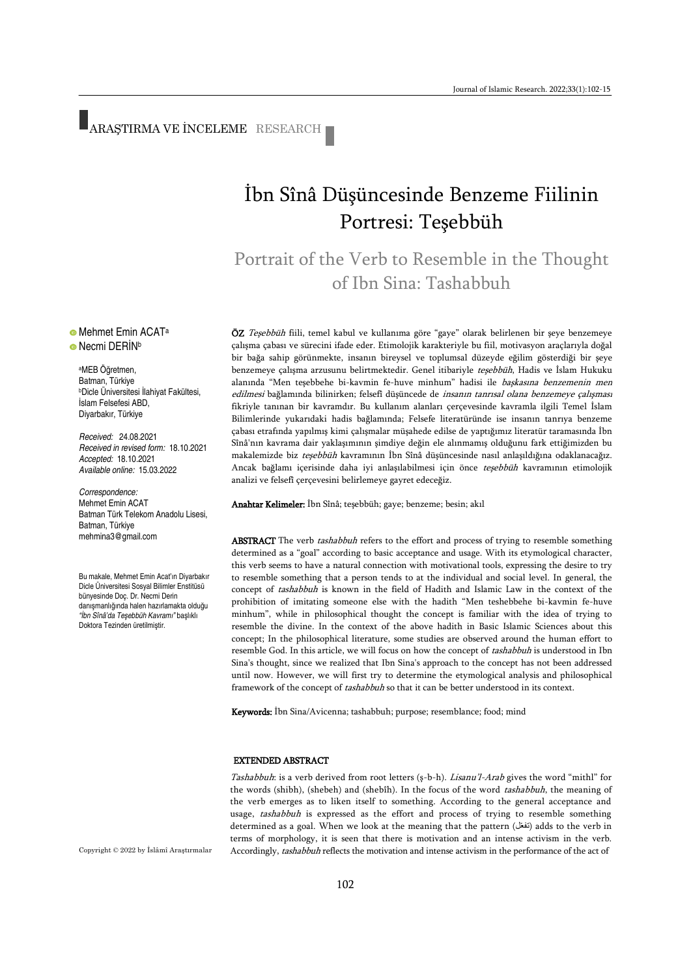# ARAŞTIRMA VE İNCELEME RESEARCH

## İbn Sînâ Düşüncesinde Benzeme Fiilinin Portresi: Teşebbüh

Portrait of the Verb to Resemble in the Thought of Ibn Sina: Tashabbuh

ÖZ Teşebbüh fiili, temel kabul ve kullanıma göre "gaye" olarak belirlenen bir şeye benzemeye çalışma çabası ve sürecini ifade eder. Etimolojik karakteriyle bu fiil, motivasyon araçlarıyla doğal bir bağa sahip görünmekte, insanın bireysel ve toplumsal düzeyde eğilim gösterdiği bir şeye benzemeye çalışma arzusunu belirtmektedir. Genel itibariyle teşebbüh, Hadis ve İslam Hukuku alanında "Men teşebbehe bi-kavmin fe-huve minhum" hadisi ile başkasına benzemenin men edilmesi bağlamında bilinirken; felsefî düşüncede de insanın tanrısal olana benzemeye çalışması fikriyle tanınan bir kavramdır. Bu kullanım alanları çerçevesinde kavramla ilgili Temel İslam Bilimlerinde yukarıdaki hadis bağlamında; Felsefe literatüründe ise insanın tanrıya benzeme çabası etrafında yapılmış kimi çalışmalar müşahede edilse de yaptığımız literatür taramasında İbn Sînâ'nın kavrama dair yaklaşımının şimdiye değin ele alınmamış olduğunu fark ettiğimizden bu makalemizde biz teşebbüh kavramının İbn Sînâ düşüncesinde nasıl anlaşıldığına odaklanacağız. Ancak bağlamı içerisinde daha iyi anlaşılabilmesi için önce teşebbüh kavramının etimolojik analizi ve felsefî çerçevesini belirlemeye gayret edeceğiz.

Anahtar Kelimeler: İbn Sînâ; teşebbüh; gaye; benzeme; besin; akıl

ABSTRACT The verb tashabbuh refers to the effort and process of trying to resemble something determined as a "goal" according to basic acceptance and usage. With its etymological character, this verb seems to have a natural connection with motivational tools, expressing the desire to try to resemble something that a person tends to at the individual and social level. In general, the concept of tashabbuh is known in the field of Hadith and Islamic Law in the context of the prohibition of imitating someone else with the hadith "Men teshebbehe bi-kavmin fe-huve minhum", while in philosophical thought the concept is familiar with the idea of trying to resemble the divine. In the context of the above hadith in Basic Islamic Sciences about this concept; In the philosophical literature, some studies are observed around the human effort to resemble God. In this article, we will focus on how the concept of tashabbuh is understood in Ibn Sina's thought, since we realized that Ibn Sina's approach to the concept has not been addressed until now. However, we will first try to determine the etymological analysis and philosophical framework of the concept of tashabbuh so that it can be better understood in its context.

Keywords: İbn Sina/Avicenna; tashabbuh; purpose; resemblance; food; mind

#### EXTENDED ABSTRACT

Tashabbuh: is a verb derived from root letters (ş-b-h). Lisanu'l-Arab gives the word "mithl" for the words (shibh), (shebeh) and (shebîh). In the focus of the word tashabbuh, the meaning of the verb emerges as to liken itself to something. According to the general acceptance and usage, tashabbuh is expressed as the effort and process of trying to resemble something determined as a goal. When we look at the meaning that the pattern (تفعّل) adds to the verb in terms of morphology, it is seen that there is motivation and an intense activism in the verb. Accordingly, tashabbuh reflects the motivation and intense activism in the performance of the act of

Copyright © 2022 by İslâmî Araştırmalar

### • Mehmet Emin ACAT<sup>a</sup> **•** Necmi DERİN<sup>b</sup>

<sup>a</sup>MEB Öğretmen, Batman, Türkiye <sup>b</sup>Dicle Üniversitesi İlahiyat Fakültesi, İslam Felsefesi ABD, Diyarbakır, Türkiye

*Received:* 24.08.2021 *Received in revised form:* 18.10.2021 *Accepted:* 18.10.2021 *Available online:* 15.03.2022

*Correspondence:* Mehmet Emin ACAT Batman Türk Telekom Anadolu Lisesi, Batman, Türkiye mehmina3@gmail.com

Bu makale, Mehmet Emin Acat'ın Diyarbakır Dicle Üniversitesi Sosyal Bilimler Enstitüsü bünyesinde Doç. Dr. Necmi Derin danışmanlığında halen hazırlamakta olduğu *"İbn Sînâ'da Teşebbüh Kavramı"* başlıklı Doktora Tezinden üretilmiştir.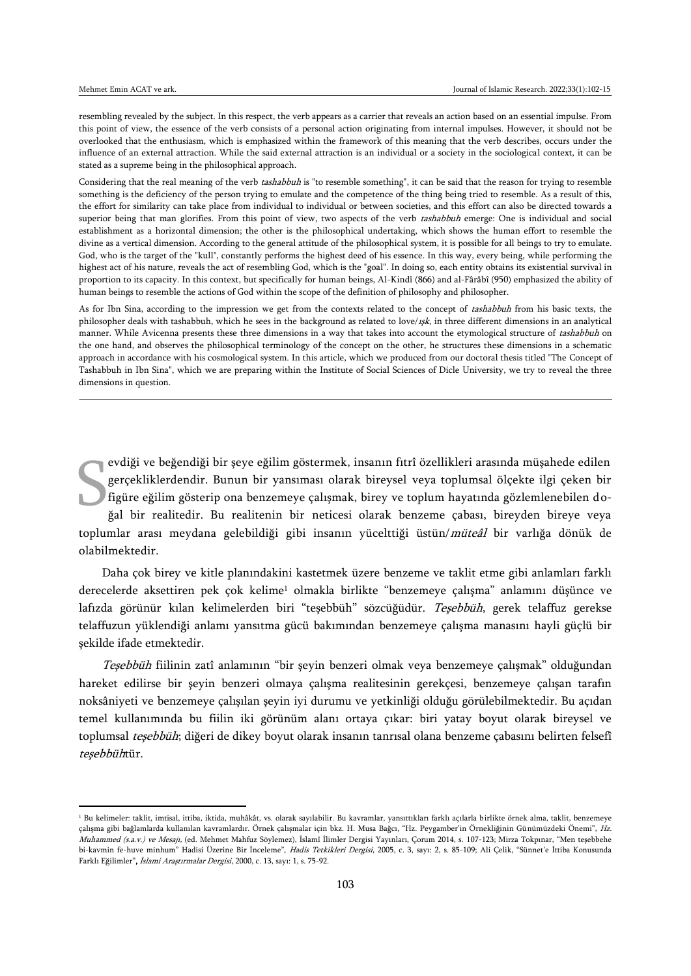$\overline{a}$ 

resembling revealed by the subject. In this respect, the verb appears as a carrier that reveals an action based on an essential impulse. From this point of view, the essence of the verb consists of a personal action originating from internal impulses. However, it should not be overlooked that the enthusiasm, which is emphasized within the framework of this meaning that the verb describes, occurs under the influence of an external attraction. While the said external attraction is an individual or a society in the sociological context, it can be stated as a supreme being in the philosophical approach.

Considering that the real meaning of the verb tashabbuh is "to resemble something", it can be said that the reason for trying to resemble something is the deficiency of the person trying to emulate and the competence of the thing being tried to resemble. As a result of this, the effort for similarity can take place from individual to individual or between societies, and this effort can also be directed towards a superior being that man glorifies. From this point of view, two aspects of the verb tashabbuh emerge: One is individual and social establishment as a horizontal dimension; the other is the philosophical undertaking, which shows the human effort to resemble the divine as a vertical dimension. According to the general attitude of the philosophical system, it is possible for all beings to try to emulate. God, who is the target of the "kull", constantly performs the highest deed of his essence. In this way, every being, while performing the highest act of his nature, reveals the act of resembling God, which is the "goal". In doing so, each entity obtains its existential survival in proportion to its capacity. In this context, but specifically for human beings, Al-Kindî (866) and al-Fârâbî (950) emphasized the ability of human beings to resemble the actions of God within the scope of the definition of philosophy and philosopher.

As for Ibn Sina, according to the impression we get from the contexts related to the concept of tashabbuh from his basic texts, the philosopher deals with tashabbuh, which he sees in the background as related to love/ışk, in three different dimensions in an analytical manner. While Avicenna presents these three dimensions in a way that takes into account the etymological structure of tashabbuh on the one hand, and observes the philosophical terminology of the concept on the other, he structures these dimensions in a schematic approach in accordance with his cosmological system. In this article, which we produced from our doctoral thesis titled "The Concept of Tashabbuh in Ibn Sina", which we are preparing within the Institute of Social Sciences of Dicle University, we try to reveal the three dimensions in question.

evdiği ve beğendiği bir şeye eğilim göstermek, insanın fıtrî özellikleri arasında müşahede edilen gerçekliklerdendir. Bunun bir yansıması olarak bireysel veya toplumsal ölçekte ilgi çeken bir figüre eğilim gösterip ona benzemeye çalışmak, birey ve toplum hayatında gözlemlenebilen doğal bir realitedir. Bu realitenin bir neticesi olarak benzeme çabası, bireyden bireye veya toplumlar arası meydana gelebildiği gibi insanın yücelttiği üstün/müteâl bir varlığa dönük de olabilmektedir. S

Daha çok birey ve kitle planındakini kastetmek üzere benzeme ve taklit etme gibi anlamları farklı derecelerde aksettiren pek çok kelime<sup>1</sup> olmakla birlikte "benzemeye çalışma" anlamını düşünce ve lafızda görünür kılan kelimelerden biri "teşebbüh" sözcüğüdür. Teşebbüh, gerek telaffuz gerekse telaffuzun yüklendiği anlamı yansıtma gücü bakımından benzemeye çalışma manasını hayli güçlü bir şekilde ifade etmektedir.

Teşebbüh fiilinin zatî anlamının "bir şeyin benzeri olmak veya benzemeye çalışmak" olduğundan hareket edilirse bir şeyin benzeri olmaya çalışma realitesinin gerekçesi, benzemeye çalışan tarafın noksâniyeti ve benzemeye çalışılan şeyin iyi durumu ve yetkinliği olduğu görülebilmektedir. Bu açıdan temel kullanımında bu fiilin iki görünüm alanı ortaya çıkar: biri yatay boyut olarak bireysel ve toplumsal teşebbüh; diğeri de dikey boyut olarak insanın tanrısal olana benzeme çabasını belirten felsefî teşebbühtür.

<sup>&</sup>lt;sup>1</sup> Bu kelimeler: taklit, imtisal, ittiba, iktida, muhâkât, vs. olarak sayılabilir. Bu kavramlar, yansıttıkları farklı açılarla birlikte örnek alma, taklit, benzemeye çalışma gibi bağlamlarda kullanılan kavramlardır. Örnek çalışmalar için bkz. H. Musa Bağcı, "Hz. Peygamber'in Örnekliğinin Günümüzdeki Önemi", Hz. Muhammed (s.a.v.) ve Mesajı, (ed. Mehmet Mahfuz Söylemez), İslamî İlimler Dergisi Yayınları, Çorum 2014, s. 107-123; Mirza Tokpınar, "Men teşebbehe bi-kavmin fe-huve minhum" Hadisi Üzerine Bir İnceleme", *Hadis Tetkikleri Dergisi*, 2005, c. 3, sayı: 2, s. 85-109; Ali Çelik, "Sünnet'e İttiba Konusunda Farklı Eğilimler", İslami Araştırmalar Dergisi, 2000, c. 13, sayı: 1, s. 75-92.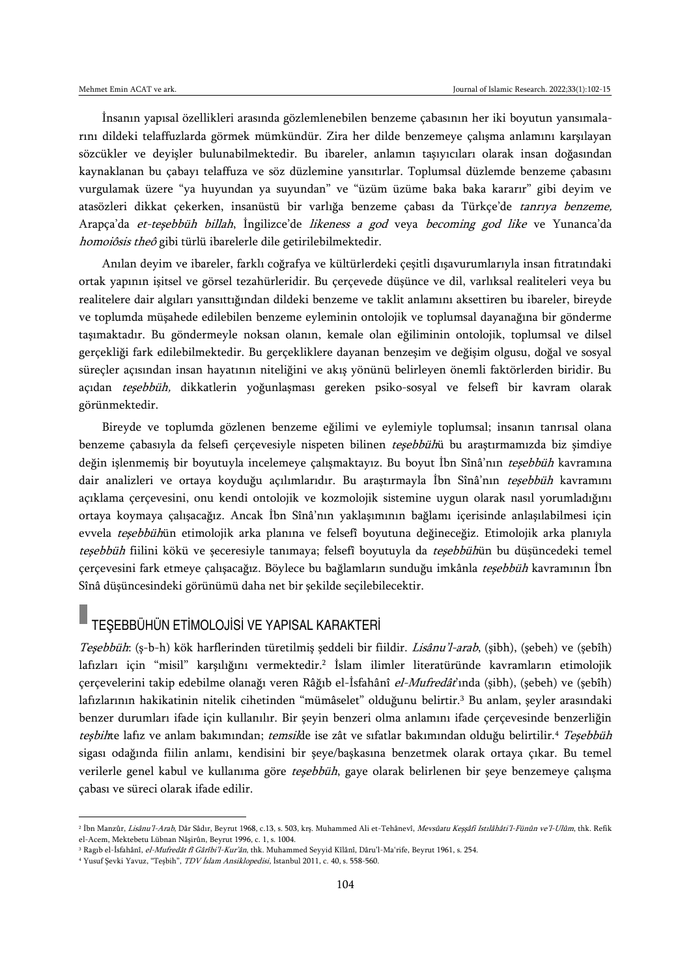İnsanın yapısal özellikleri arasında gözlemlenebilen benzeme çabasının her iki boyutun yansımalarını dildeki telaffuzlarda görmek mümkündür. Zira her dilde benzemeye çalışma anlamını karşılayan sözcükler ve deyişler bulunabilmektedir. Bu ibareler, anlamın taşıyıcıları olarak insan doğasından kaynaklanan bu çabayı telaffuza ve söz düzlemine yansıtırlar. Toplumsal düzlemde benzeme çabasını vurgulamak üzere "ya huyundan ya suyundan" ve "üzüm üzüme baka baka kararır" gibi deyim ve atasözleri dikkat çekerken, insanüstü bir varlığa benzeme çabası da Türkçe'de tanrıya benzeme, Arapça'da et-teşebbüh billah, İngilizce'de likeness a god veya becoming god like ve Yunanca'da homoiôsis theô gibi türlü ibarelerle dile getirilebilmektedir.

Anılan deyim ve ibareler, farklı coğrafya ve kültürlerdeki çeşitli dışavurumlarıyla insan fıtratındaki ortak yapının işitsel ve görsel tezahürleridir. Bu çerçevede düşünce ve dil, varlıksal realiteleri veya bu realitelere dair algıları yansıttığından dildeki benzeme ve taklit anlamını aksettiren bu ibareler, bireyde ve toplumda müşahede edilebilen benzeme eyleminin ontolojik ve toplumsal dayanağına bir gönderme taşımaktadır. Bu göndermeyle noksan olanın, kemale olan eğiliminin ontolojik, toplumsal ve dilsel gerçekliği fark edilebilmektedir. Bu gerçekliklere dayanan benzeşim ve değişim olgusu, doğal ve sosyal süreçler açısından insan hayatının niteliğini ve akış yönünü belirleyen önemli faktörlerden biridir. Bu açıdan teşebbüh, dikkatlerin yoğunlaşması gereken psiko-sosyal ve felsefî bir kavram olarak görünmektedir.

Bireyde ve toplumda gözlenen benzeme eğilimi ve eylemiyle toplumsal; insanın tanrısal olana benzeme çabasıyla da felsefi çerçevesiyle nispeten bilinen teşebbühü bu araştırmamızda biz şimdiye değin işlenmemiş bir boyutuyla incelemeye çalışmaktayız. Bu boyut İbn Sînâ'nın teşebbüh kavramına dair analizleri ve ortaya koyduğu açılımlarıdır. Bu araştırmayla İbn Sînâ'nın teşebbüh kavramını açıklama çerçevesini, onu kendi ontolojik ve kozmolojik sistemine uygun olarak nasıl yorumladığını ortaya koymaya çalışacağız. Ancak İbn Sînâ'nın yaklaşımının bağlamı içerisinde anlaşılabilmesi için evvela teşebbühün etimolojik arka planına ve felsefî boyutuna değineceğiz. Etimolojik arka planıyla teşebbüh fiilini kökü ve şeceresiyle tanımaya; felsefî boyutuyla da teşebbühün bu düşüncedeki temel çerçevesini fark etmeye çalışacağız. Böylece bu bağlamların sunduğu imkânla *teşebbüh* kavramının İbn Sînâ düşüncesindeki görünümü daha net bir şekilde seçilebilecektir.

## TEŞEBBÜHÜN ETİMOLOJİSİ VE YAPISAL KARAKTERİ

Teşebbüh: (ş-b-h) kök harflerinden türetilmiş şeddeli bir fiildir. Lisânu'l-arab, (şibh), (şebeh) ve (şebîh) lafızları için "misil" karşılığını vermektedir.<sup>2</sup> Islam ilimler literatüründe kavramların etimolojik çerçevelerini takip edebilme olanağı veren Râğıb el-İsfahânî el-Mufredât'ında (şibh), (şebeh) ve (şebîh) lafızlarının hakikatinin nitelik cihetinden "mümâselet" olduğunu belirtir.<sup>3</sup> Bu anlam, şeyler arasındaki benzer durumları ifade için kullanılır. Bir şeyin benzeri olma anlamını ifade çerçevesinde benzerliğin teşbihte lafız ve anlam bakımından; temsilde ise zât ve sıfatlar bakımından olduğu belirtilir.<sup>4</sup> Teşebbüh sigası odağında fiilin anlamı, kendisini bir şeye/başkasına benzetmek olarak ortaya çıkar. Bu temel verilerle genel kabul ve kullanıma göre teşebbüh, gaye olarak belirlenen bir şeye benzemeye çalışma çabası ve süreci olarak ifade edilir.

 $\overline{\phantom{a}}$ 

<sup>&</sup>lt;sup>2</sup> Ibn Manzûr, *Lisânu'l-Arab*, Dâr Sâdır, Beyrut 1968, c.13, s. 503, krş. Muhammed Ali et-Tehânevî, *Mevsûatu Keşşâfi Istılâhâti'l-Fünûn ve'l-Ulûm*, thk. Refik el-Acem, Mektebetu Lübnan Nâşirûn, Beyrut 1996, c. 1, s. 1004.

<sup>&</sup>lt;sup>3</sup> Ragıb el-İsfahânî, *el-Mufredât fî Gârîbi'l-Kur'ân*, thk. Muhammed Seyyid Kîlânî, Dâru'l-Ma'rife, Beyrut 1961, s. 254.

<sup>&</sup>lt;sup>4</sup> Yusuf Şevki Yavuz, "Teşbih", TDV İslam Ansiklopedisi, İstanbul 2011, c. 40, s. 558-560.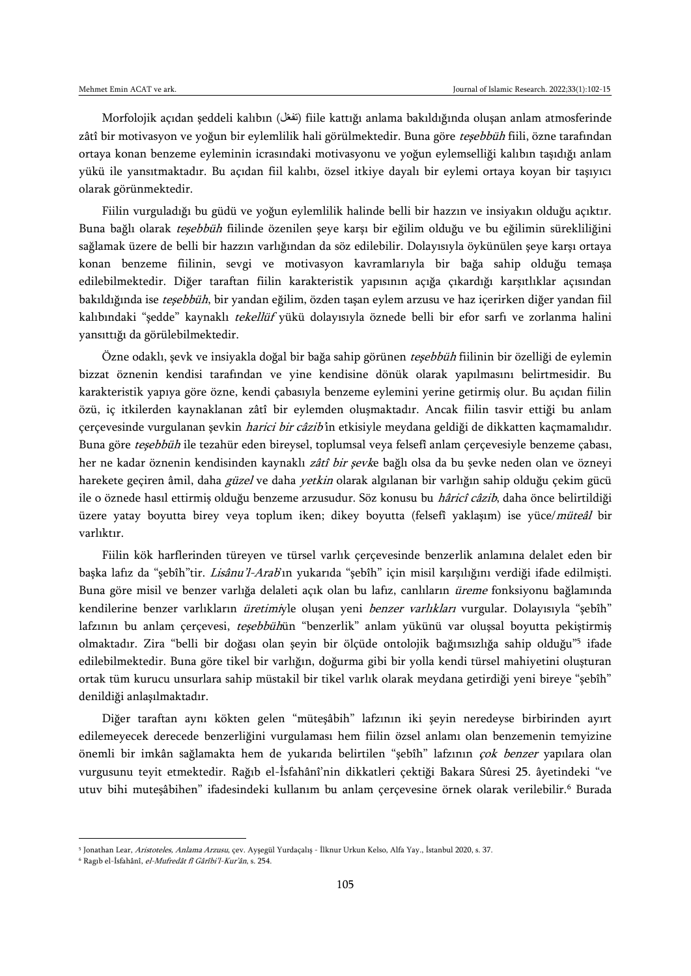Morfolojik açıdan şeddeli kalıbın ( ) fiile kattığı anlama bakıldığında oluşan anlam atmosferinde zâtî bir motivasyon ve yoğun bir eylemlilik hali görülmektedir. Buna göre teşebbüh fiili, özne tarafından ortaya konan benzeme eyleminin icrasındaki motivasyonu ve yoğun eylemselliği kalıbın taşıdığı anlam yükü ile yansıtmaktadır. Bu açıdan fiil kalıbı, özsel itkiye dayalı bir eylemi ortaya koyan bir taşıyıcı olarak görünmektedir.

Fiilin vurguladığı bu güdü ve yoğun eylemlilik halinde belli bir hazzın ve insiyakın olduğu açıktır. Buna bağlı olarak teşebbüh fiilinde özenilen şeye karşı bir eğilim olduğu ve bu eğilimin sürekliliğini sağlamak üzere de belli bir hazzın varlığından da söz edilebilir. Dolayısıyla öykünülen şeye karşı ortaya konan benzeme fiilinin, sevgi ve motivasyon kavramlarıyla bir bağa sahip olduğu temaşa edilebilmektedir. Diğer taraftan fiilin karakteristik yapısının açığa çıkardığı karşıtlıklar açısından bakıldığında ise teşebbüh, bir yandan eğilim, özden taşan eylem arzusu ve haz içerirken diğer yandan fiil kalıbındaki "şedde" kaynaklı tekellüf yükü dolayısıyla öznede belli bir efor sarfı ve zorlanma halini yansıttığı da görülebilmektedir.

Özne odaklı, şevk ve insiyakla doğal bir bağa sahip görünen teşebbüh fiilinin bir özelliği de eylemin bizzat öznenin kendisi tarafından ve yine kendisine dönük olarak yapılmasını belirtmesidir. Bu karakteristik yapıya göre özne, kendi çabasıyla benzeme eylemini yerine getirmiş olur. Bu açıdan fiilin özü, iç itkilerden kaynaklanan zâtî bir eylemden oluşmaktadır. Ancak fiilin tasvir ettiği bu anlam çerçevesinde vurgulanan şevkin harici bir câzib'in etkisiyle meydana geldiği de dikkatten kaçmamalıdır. Buna göre teşebbüh ile tezahür eden bireysel, toplumsal veya felsefî anlam çerçevesiyle benzeme çabası, her ne kadar öznenin kendisinden kaynaklı zâtî bir şevke bağlı olsa da bu şevke neden olan ve özneyi harekete geçiren âmil, daha *güzel* ve daha *yetkin* olarak algılanan bir varlığın sahip olduğu çekim gücü ile o öznede hasıl ettirmiş olduğu benzeme arzusudur. Söz konusu bu hâricî câzib, daha önce belirtildiği üzere yatay boyutta birey veya toplum iken; dikey boyutta (felsefî yaklaşım) ise yüce/müteâl bir varlıktır.

Fiilin kök harflerinden türeyen ve türsel varlık çerçevesinde benzerlik anlamına delalet eden bir başka lafız da "şebîh"tir. Lisânu'l-Arab'ın yukarıda "şebîh" için misil karşılığını verdiği ifade edilmişti. Buna göre misil ve benzer varlığa delaleti açık olan bu lafız, canlıların üreme fonksiyonu bağlamında kendilerine benzer varlıkların üretimiyle oluşan yeni benzer varlıkları vurgular. Dolayısıyla "şebîh" lafzının bu anlam çerçevesi, teşebbühün "benzerlik" anlam yükünü var oluşsal boyutta pekiştirmiş olmaktadır. Zira "belli bir doğası olan şeyin bir ölçüde ontolojik bağımsızlığa sahip olduğu"<sup>5</sup> ifade edilebilmektedir. Buna göre tikel bir varlığın, doğurma gibi bir yolla kendi türsel mahiyetini oluşturan ortak tüm kurucu unsurlara sahip müstakil bir tikel varlık olarak meydana getirdiği yeni bireye "şebîh" denildiği anlaşılmaktadır.

Diğer taraftan aynı kökten gelen "müteşâbih" lafzının iki şeyin neredeyse birbirinden ayırt edilemeyecek derecede benzerliğini vurgulaması hem fiilin özsel anlamı olan benzemenin temyizine önemli bir imkân sağlamakta hem de yukarıda belirtilen "şebîh" lafzının çok benzer yapılara olan vurgusunu teyit etmektedir. Rağıb el-İsfahânî'nin dikkatleri çektiği Bakara Sûresi 25. âyetindeki "ve utuv bihi muteşâbihen" ifadesindeki kullanım bu anlam çerçevesine örnek olarak verilebilir.<sup>6</sup> Burada

<sup>&</sup>lt;sup>5</sup> Jonathan Lear, *Aristoteles, Anlama Arzusu*, çev. Ayşegül Yurdaçalış - Ilknur Urkun Kelso, Alfa Yay., İstanbul 2020, s. 37.

<sup>6</sup> Ragıb el-İsfahânî, el-Mufredât fî Gârîbi'l-Kur'ân, s. 254.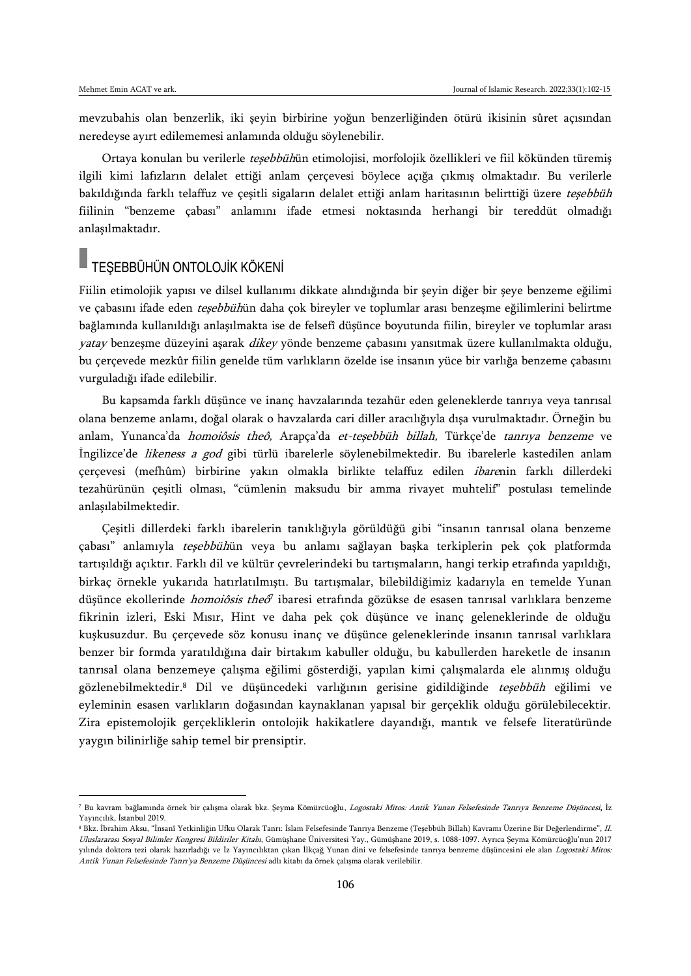$\overline{a}$ 

mevzubahis olan benzerlik, iki şeyin birbirine yoğun benzerliğinden ötürü ikisinin sûret açısından neredeyse ayırt edilememesi anlamında olduğu söylenebilir.

Ortaya konulan bu verilerle teşebbühün etimolojisi, morfolojik özellikleri ve fiil kökünden türemiş ilgili kimi lafızların delalet ettiği anlam çerçevesi böylece açığa çıkmış olmaktadır. Bu verilerle bakıldığında farklı telaffuz ve çeşitli sigaların delalet ettiği anlam haritasının belirttiği üzere teşebbüh fiilinin "benzeme çabası" anlamını ifade etmesi noktasında herhangi bir tereddüt olmadığı anlaşılmaktadır.

## TEŞEBBÜHÜN ONTOLOJİK KÖKENİ

Fiilin etimolojik yapısı ve dilsel kullanımı dikkate alındığında bir şeyin diğer bir şeye benzeme eğilimi ve çabasını ifade eden teşebbühün daha çok bireyler ve toplumlar arası benzeşme eğilimlerini belirtme bağlamında kullanıldığı anlaşılmakta ise de felsefî düşünce boyutunda fiilin, bireyler ve toplumlar arası yatay benzeşme düzeyini aşarak dikey yönde benzeme çabasını yansıtmak üzere kullanılmakta olduğu, bu çerçevede mezkûr fiilin genelde tüm varlıkların özelde ise insanın yüce bir varlığa benzeme çabasını vurguladığı ifade edilebilir.

Bu kapsamda farklı düşünce ve inanç havzalarında tezahür eden geleneklerde tanrıya veya tanrısal olana benzeme anlamı, doğal olarak o havzalarda cari diller aracılığıyla dışa vurulmaktadır. Örneğin bu anlam, Yunanca'da *homoiôsis theô*, Arapça'da et-teşebbüh billah, Türkçe'de tanrıya benzeme ve İngilizce'de likeness a god gibi türlü ibarelerle söylenebilmektedir. Bu ibarelerle kastedilen anlam çerçevesi (mefhûm) birbirine yakın olmakla birlikte telaffuz edilen ibarenin farklı dillerdeki tezahürünün çeşitli olması, "cümlenin maksudu bir amma rivayet muhtelif" postulası temelinde anlaşılabilmektedir.

Çeşitli dillerdeki farklı ibarelerin tanıklığıyla görüldüğü gibi "insanın tanrısal olana benzeme çabası" anlamıyla teşebbühün veya bu anlamı sağlayan başka terkiplerin pek çok platformda tartışıldığı açıktır. Farklı dil ve kültür çevrelerindeki bu tartışmaların, hangi terkip etrafında yapıldığı, birkaç örnekle yukarıda hatırlatılmıştı. Bu tartışmalar, bilebildiğimiz kadarıyla en temelde Yunan düşünce ekollerinde *homoiôsis theô<sup>7</sup>* ibaresi etrafında gözükse de esasen tanrısal varlıklara benzeme fikrinin izleri, Eski Mısır, Hint ve daha pek çok düşünce ve inanç geleneklerinde de olduğu kuşkusuzdur. Bu çerçevede söz konusu inanç ve düşünce geleneklerinde insanın tanrısal varlıklara benzer bir formda yaratıldığına dair birtakım kabuller olduğu, bu kabullerden hareketle de insanın tanrısal olana benzemeye çalışma eğilimi gösterdiği, yapılan kimi çalışmalarda ele alınmış olduğu gözlenebilmektedir.<sup>8</sup> Dil ve düşüncedeki varlığının gerisine gidildiğinde teşebbüh eğilimi ve eyleminin esasen varlıkların doğasından kaynaklanan yapısal bir gerçeklik olduğu görülebilecektir. Zira epistemolojik gerçekliklerin ontolojik hakikatlere dayandığı, mantık ve felsefe literatüründe yaygın bilinirliğe sahip temel bir prensiptir.

<sup>7</sup> Bu kavram bağlamında örnek bir çalışma olarak bkz. Şeyma Kömürcüoğlu, *Logostaki Mitos: Antik Yunan Felsefesinde Tanrıya Benzeme Düşüncesi*, İz Yayıncılık, İstanbul 2019.

<sup>8</sup> Bkz. İbrahim Aksu, "İnsanî Yetkinliğin Ufku Olarak Tanrı: İslam Felsefesinde Tanrıya Benzeme (Teşebbüh Billah) Kavramı Üzerine Bir Değerlendirme", II. Uluslararası Sosyal Bilimler Kongresi Bildiriler Kitabı, Gümüşhane Üniversitesi Yay., Gümüşhane 2019, s. 1088-1097. Ayrıca Şeyma Kömürcüoğlu'nun 2017 yılında doktora tezi olarak hazırladığı ve İz Yayıncılıktan çıkan İlkçağ Yunan dini ve felsefesinde tanrıya benzeme düşüncesini ele alan Logostaki Mitos: <sup>A</sup>ntik Yunan Felsefesinde Tanrı'ya Benzeme Düşüncesi adlı kitabı da örnek çalışma olarak verilebilir.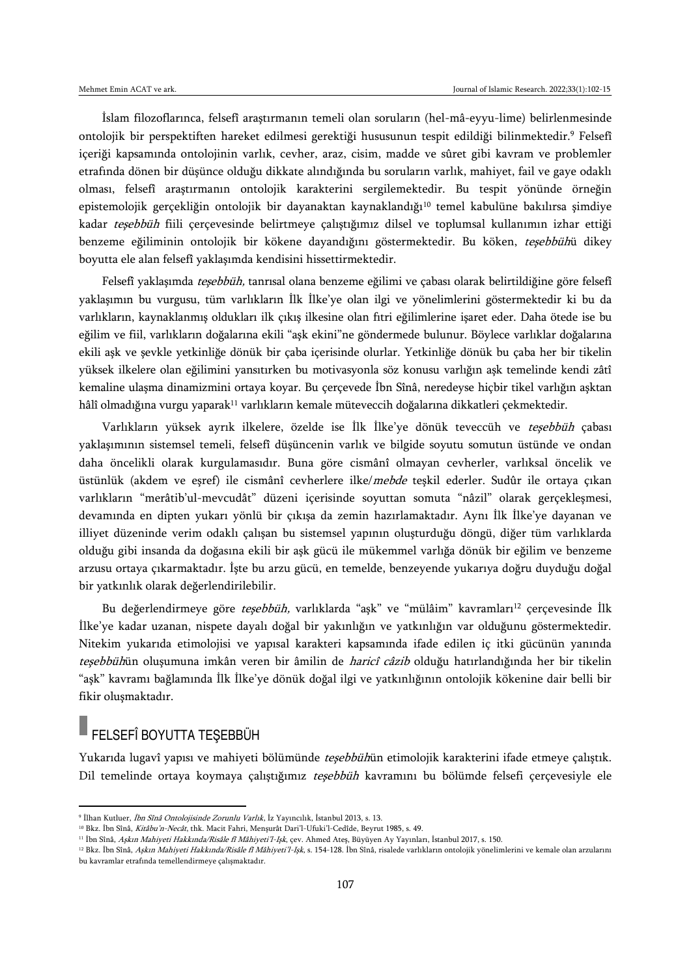İslam filozoflarınca, felsefî araştırmanın temeli olan soruların (hel-mâ-eyyu-lime) belirlenmesinde ontolojik bir perspektiften hareket edilmesi gerektiği hususunun tespit edildiği bilinmektedir.<sup>9</sup> Felsefî içeriği kapsamında ontolojinin varlık, cevher, araz, cisim, madde ve sûret gibi kavram ve problemler etrafında dönen bir düşünce olduğu dikkate alındığında bu soruların varlık, mahiyet, fail ve gaye odaklı olması, felsefî araştırmanın ontolojik karakterini sergilemektedir. Bu tespit yönünde örneğin epistemolojik gerçekliğin ontolojik bir dayanaktan kaynaklandığı<sup>10</sup> temel kabulüne bakılırsa şimdiye kadar teşebbüh fiili çerçevesinde belirtmeye çalıştığımız dilsel ve toplumsal kullanımın izhar ettiği benzeme eğiliminin ontolojik bir kökene dayandığını göstermektedir. Bu köken, teşebbühü dikey boyutta ele alan felsefî yaklaşımda kendisini hissettirmektedir.

Felsefî yaklaşımda teşebbüh, tanrısal olana benzeme eğilimi ve çabası olarak belirtildiğine göre felsefî yaklaşımın bu vurgusu, tüm varlıkların İlk İlke'ye olan ilgi ve yönelimlerini göstermektedir ki bu da varlıkların, kaynaklanmış oldukları ilk çıkış ilkesine olan fıtri eğilimlerine işaret eder. Daha ötede ise bu eğilim ve fiil, varlıkların doğalarına ekili "aşk ekini"ne göndermede bulunur. Böylece varlıklar doğalarına ekili aşk ve şevkle yetkinliğe dönük bir çaba içerisinde olurlar. Yetkinliğe dönük bu çaba her bir tikelin yüksek ilkelere olan eğilimini yansıtırken bu motivasyonla söz konusu varlığın aşk temelinde kendi zâtî kemaline ulaşma dinamizmini ortaya koyar. Bu çerçevede İbn Sînâ, neredeyse hiçbir tikel varlığın aşktan hâlî olmadığına vurgu yaparak<sup>11</sup> varlıkların kemale müteveccih doğalarına dikkatleri çekmektedir.

Varlıkların yüksek ayrık ilkelere, özelde ise İlk İlke'ye dönük teveccüh ve teşebbüh çabası yaklaşımının sistemsel temeli, felsefî düşüncenin varlık ve bilgide soyutu somutun üstünde ve ondan daha öncelikli olarak kurgulamasıdır. Buna göre cismânî olmayan cevherler, varlıksal öncelik ve üstünlük (akdem ve eşref) ile cismânî cevherlere ilke/mebde teşkil ederler. Sudûr ile ortaya çıkan varlıkların "merâtib'ul-mevcudât" düzeni içerisinde soyuttan somuta "nâzil" olarak gerçekleşmesi, devamında en dipten yukarı yönlü bir çıkışa da zemin hazırlamaktadır. Aynı İlk İlke'ye dayanan ve illiyet düzeninde verim odaklı çalışan bu sistemsel yapının oluşturduğu döngü, diğer tüm varlıklarda olduğu gibi insanda da doğasına ekili bir aşk gücü ile mükemmel varlığa dönük bir eğilim ve benzeme arzusu ortaya çıkarmaktadır. İşte bu arzu gücü, en temelde, benzeyende yukarıya doğru duyduğu doğal bir yatkınlık olarak değerlendirilebilir.

Bu değerlendirmeye göre teşebbüh, varlıklarda "aşk" ve "mülâim" kavramları<sup>12</sup> çerçevesinde İlk İlke'ye kadar uzanan, nispete dayalı doğal bir yakınlığın ve yatkınlığın var olduğunu göstermektedir. Nitekim yukarıda etimolojisi ve yapısal karakteri kapsamında ifade edilen iç itki gücünün yanında teşebbühün oluşumuna imkân veren bir âmilin de haricî câzib olduğu hatırlandığında her bir tikelin "aşk" kavramı bağlamında İlk İlke'ye dönük doğal ilgi ve yatkınlığının ontolojik kökenine dair belli bir fikir oluşmaktadır.

# **FELSEFÎ BOYUTTA TEŞEBBÜH**

 $\overline{a}$ 

Yukarıda lugavî yapısı ve mahiyeti bölümünde teşebbühün etimolojik karakterini ifade etmeye çalıştık. Dil temelinde ortaya koymaya çalıştığımız teşebbüh kavramını bu bölümde felsefi çerçevesiyle ele

<sup>&</sup>lt;sup>9</sup> İlhan Kutluer, *İbn Sînâ Ontolojisinde Zorunlu Varlık*, İz Yayıncılık, İstanbul 2013, s. 13.

<sup>&</sup>lt;sup>10</sup> Bkz. İbn Sînâ, Kitâbu'n-Necât, thk. Macit Fahri, Menşurât Dari'l-Ufuki'l-Cedîde, Beyrut 1985, s. 49.

<sup>&</sup>lt;sup>11</sup> İbn Sînâ, Aşkın Mahiyeti Hakkında/Risâle fî Mâhiyeti'l-Işk, çev. Ahmed Ateş, Büyüyen Ay Yayınları, İstanbul 2017, s. 150.

<sup>&</sup>lt;sup>12</sup> Bkz. İbn Sînâ, Askın Mahiyeti Hakkında/Risâle fî Mâhiyeti'l-Isk, s. 154-128. İbn Sînâ, risalede varlıkların ontolojik yönelimlerini ve kemale olan arzularını bu kavramlar etrafında temellendirmeye çalışmaktadır.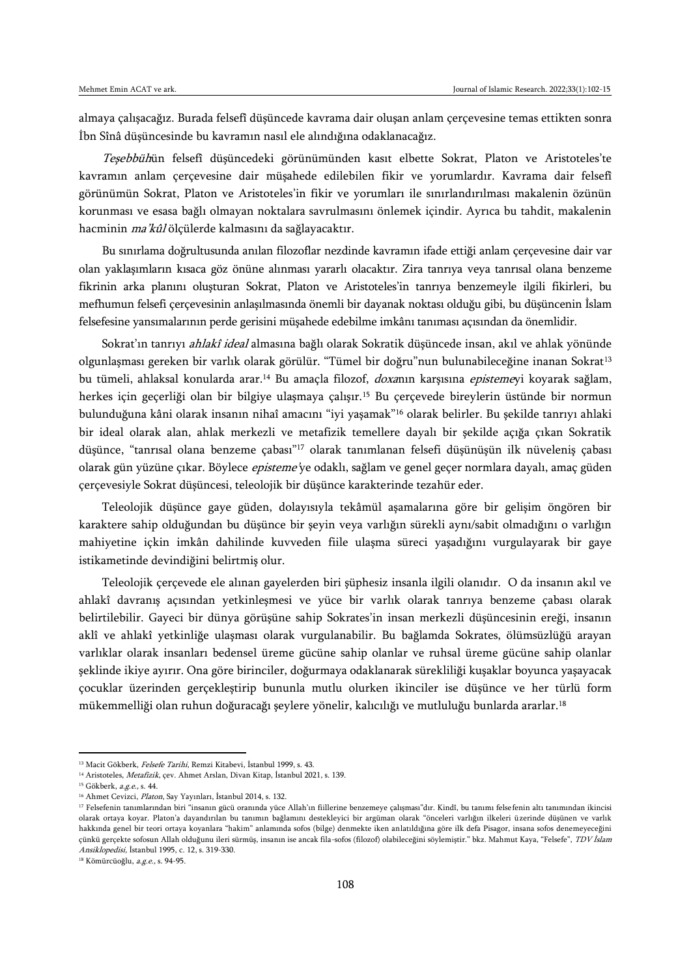almaya çalışacağız. Burada felsefî düşüncede kavrama dair oluşan anlam çerçevesine temas ettikten sonra İbn Sînâ düşüncesinde bu kavramın nasıl ele alındığına odaklanacağız.

Teşebbühün felsefî düşüncedeki görünümünden kasıt elbette Sokrat, Platon ve Aristoteles'te kavramın anlam çerçevesine dair müşahede edilebilen fikir ve yorumlardır. Kavrama dair felsefî görünümün Sokrat, Platon ve Aristoteles'in fikir ve yorumları ile sınırlandırılması makalenin özünün korunması ve esasa bağlı olmayan noktalara savrulmasını önlemek içindir. Ayrıca bu tahdit, makalenin hacminin ma'kûl ölçülerde kalmasını da sağlayacaktır.

Bu sınırlama doğrultusunda anılan filozoflar nezdinde kavramın ifade ettiği anlam çerçevesine dair var olan yaklaşımların kısaca göz önüne alınması yararlı olacaktır. Zira tanrıya veya tanrısal olana benzeme fikrinin arka planını oluşturan Sokrat, Platon ve Aristoteles'in tanrıya benzemeyle ilgili fikirleri, bu mefhumun felsefi çerçevesinin anlaşılmasında önemli bir dayanak noktası olduğu gibi, bu düşüncenin İslam felsefesine yansımalarının perde gerisini müşahede edebilme imkânı tanıması açısından da önemlidir.

Sokrat'ın tanrıyı ahlakî ideal almasına bağlı olarak Sokratik düşüncede insan, akıl ve ahlak yönünde olgunlaşması gereken bir varlık olarak görülür. "Tümel bir doğru"nun bulunabileceğine inanan Sokrat<sup>13</sup> bu tümeli, ahlaksal konularda arar.<sup>14</sup> Bu amaçla filozof, doxanın karşısına epistemeyi koyarak sağlam, herkes için geçerliği olan bir bilgiye ulaşmaya çalışır.<sup>15</sup> Bu çerçevede bireylerin üstünde bir normun bulunduğuna kâni olarak insanın nihaî amacını "iyi yaşamak"<sup>16</sup> olarak belirler. Bu şekilde tanrıyı ahlaki bir ideal olarak alan, ahlak merkezli ve metafizik temellere dayalı bir şekilde açığa çıkan Sokratik düşünce, "tanrısal olana benzeme çabası"<sup>17</sup> olarak tanımlanan felsefi düşünüşün ilk nüveleniş çabası olarak gün yüzüne çıkar. Böylece *episteme'*ye odaklı, sağlam ve genel geçer normlara dayalı, amaç güden çerçevesiyle Sokrat düşüncesi, teleolojik bir düşünce karakterinde tezahür eder.

Teleolojik düşünce gaye güden, dolayısıyla tekâmül aşamalarına göre bir gelişim öngören bir karaktere sahip olduğundan bu düşünce bir şeyin veya varlığın sürekli aynı/sabit olmadığını o varlığın mahiyetine içkin imkân dahilinde kuvveden fiile ulaşma süreci yaşadığını vurgulayarak bir gaye istikametinde devindiğini belirtmiş olur.

Teleolojik çerçevede ele alınan gayelerden biri şüphesiz insanla ilgili olanıdır. O da insanın akıl ve ahlakî davranış açısından yetkinleşmesi ve yüce bir varlık olarak tanrıya benzeme çabası olarak belirtilebilir. Gayeci bir dünya görüşüne sahip Sokrates'in insan merkezli düşüncesinin ereği, insanın aklî ve ahlakî yetkinliğe ulaşması olarak vurgulanabilir. Bu bağlamda Sokrates, ölümsüzlüğü arayan varlıklar olarak insanları bedensel üreme gücüne sahip olanlar ve ruhsal üreme gücüne sahip olanlar şeklinde ikiye ayırır. Ona göre birinciler, doğurmaya odaklanarak sürekliliği kuşaklar boyunca yaşayacak çocuklar üzerinden gerçekleştirip bununla mutlu olurken ikinciler ise düşünce ve her türlü form mükemmelliği olan ruhun doğuracağı şeylere yönelir, kalıcılığı ve mutluluğu bunlarda ararlar.<sup>18</sup>

<sup>&</sup>lt;sup>13</sup> Macit Gökberk, Felsefe Tarihi, Remzi Kitabevi, İstanbul 1999, s. 43.

<sup>&</sup>lt;sup>14</sup> Aristoteles, Metafizik, çev. Ahmet Arslan, Divan Kitap, İstanbul 2021, s. 139.

<sup>&</sup>lt;sup>15</sup> Gökberk, a.g.e., s. 44.

<sup>&</sup>lt;sup>16</sup> Ahmet Cevizci, Platon, Say Yayınları, İstanbul 2014, s. 132.

<sup>17</sup> Felsefenin tanımlarından biri "insanın gücü oranında yüce Allah'ın fiillerine benzemeye çalışması"dır. Kindî, bu tanımı felsefenin altı tanımından ikincisi olarak ortaya koyar. Platon'a dayandırılan bu tanımın bağlamını destekleyici bir argüman olarak "önceleri varlığın ilkeleri üzerinde düşünen ve varlık hakkında genel bir teori ortaya koyanlara "hakim" anlamında sofos (bilge) denmekte iken anlatıldığına göre ilk defa Pisagor, insana sofos denemeyeceğini çünkü gerçekte sofosun Allah olduğunu ileri sürmüş, insanın ise ancak fila-sofos (filozof) olabileceğini söylemiştir." bkz. Mahmut Kaya, "Felsefe", TDV İslam Ansiklopedisi, İstanbul 1995, c. 12, s. 319-330.

<sup>&</sup>lt;sup>18</sup> Kömürcüoğlu, a.g.e., s. 94-95.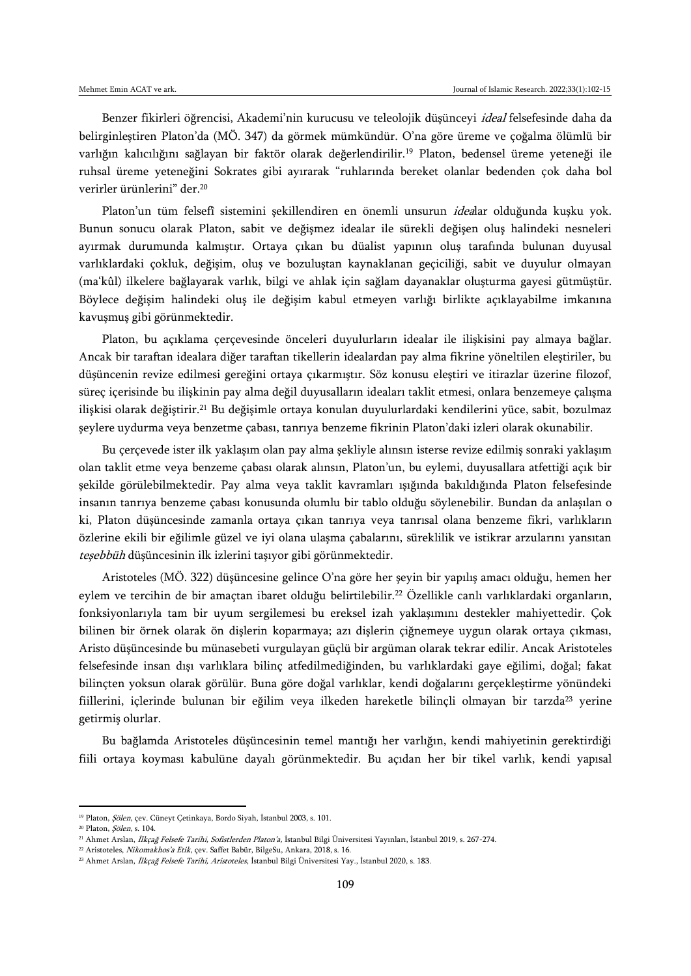Benzer fikirleri öğrencisi, Akademi'nin kurucusu ve teleolojik düşünceyi ideal felsefesinde daha da belirginleştiren Platon'da (MÖ. 347) da görmek mümkündür. O'na göre üreme ve çoğalma ölümlü bir varlığın kalıcılığını sağlayan bir faktör olarak değerlendirilir.<sup>19</sup> Platon, bedensel üreme yeteneği ile ruhsal üreme yeteneğini Sokrates gibi ayırarak "ruhlarında bereket olanlar bedenden çok daha bol verirler ürünlerini" der.<sup>20</sup>

Platon'un tüm felsefî sistemini şekillendiren en önemli unsurun idealar olduğunda kuşku yok. Bunun sonucu olarak Platon, sabit ve değişmez idealar ile sürekli değişen oluş halindeki nesneleri ayırmak durumunda kalmıştır. Ortaya çıkan bu düalist yapının oluş tarafında bulunan duyusal varlıklardaki çokluk, değişim, oluş ve bozuluştan kaynaklanan geçiciliği, sabit ve duyulur olmayan (ma'kûl) ilkelere bağlayarak varlık, bilgi ve ahlak için sağlam dayanaklar oluşturma gayesi gütmüştür. Böylece değişim halindeki oluş ile değişim kabul etmeyen varlığı birlikte açıklayabilme imkanına kavuşmuş gibi görünmektedir.

Platon, bu açıklama çerçevesinde önceleri duyulurların idealar ile ilişkisini pay almaya bağlar. Ancak bir taraftan idealara diğer taraftan tikellerin idealardan pay alma fikrine yöneltilen eleştiriler, bu düşüncenin revize edilmesi gereğini ortaya çıkarmıştır. Söz konusu eleştiri ve itirazlar üzerine filozof, süreç içerisinde bu ilişkinin pay alma değil duyusalların ideaları taklit etmesi, onlara benzemeye çalışma ilişkisi olarak değiştirir.<sup>21</sup> Bu değişimle ortaya konulan duyulurlardaki kendilerini yüce, sabit, bozulmaz şeylere uydurma veya benzetme çabası, tanrıya benzeme fikrinin Platon'daki izleri olarak okunabilir.

Bu çerçevede ister ilk yaklaşım olan pay alma şekliyle alınsın isterse revize edilmiş sonraki yaklaşım olan taklit etme veya benzeme çabası olarak alınsın, Platon'un, bu eylemi, duyusallara atfettiği açık bir şekilde görülebilmektedir. Pay alma veya taklit kavramları ışığında bakıldığında Platon felsefesinde insanın tanrıya benzeme çabası konusunda olumlu bir tablo olduğu söylenebilir. Bundan da anlaşılan o ki, Platon düşüncesinde zamanla ortaya çıkan tanrıya veya tanrısal olana benzeme fikri, varlıkların özlerine ekili bir eğilimle güzel ve iyi olana ulaşma çabalarını, süreklilik ve istikrar arzularını yansıtan teşebbüh düşüncesinin ilk izlerini taşıyor gibi görünmektedir.

Aristoteles (MÖ. 322) düşüncesine gelince O'na göre her şeyin bir yapılış amacı olduğu, hemen her eylem ve tercihin de bir amaçtan ibaret olduğu belirtilebilir.<sup>22</sup> Özellikle canlı varlıklardaki organların, fonksiyonlarıyla tam bir uyum sergilemesi bu ereksel izah yaklaşımını destekler mahiyettedir. Çok bilinen bir örnek olarak ön dişlerin koparmaya; azı dişlerin çiğnemeye uygun olarak ortaya çıkması, Aristo düşüncesinde bu münasebeti vurgulayan güçlü bir argüman olarak tekrar edilir. Ancak Aristoteles felsefesinde insan dışı varlıklara bilinç atfedilmediğinden, bu varlıklardaki gaye eğilimi, doğal; fakat bilinçten yoksun olarak görülür. Buna göre doğal varlıklar, kendi doğalarını gerçekleştirme yönündeki fiillerini, içlerinde bulunan bir eğilim veya ilkeden hareketle bilinçli olmayan bir tarzda<sup>23</sup> yerine getirmiş olurlar.

Bu bağlamda Aristoteles düşüncesinin temel mantığı her varlığın, kendi mahiyetinin gerektirdiği fiili ortaya koyması kabulüne dayalı görünmektedir. Bu açıdan her bir tikel varlık, kendi yapısal

<sup>19</sup> Platon, Şölen, çev. Cüneyt Çetinkaya, Bordo Siyah, İstanbul 2003, s. 101.

<sup>20</sup> Platon, Şölen, s. 104.

<sup>21</sup> Ahmet Arslan, İlkçağ Felsefe Tarihi, Sofistlerden Platon'a, İstanbul Bilgi Üniversitesi Yayınları, İstanbul 2019, s. 267-274.

<sup>22</sup> Aristoteles, Nikomakhos'a Etik, çev. Saffet Babür, BilgeSu, Ankara, 2018, s. 16.

<sup>&</sup>lt;sup>23</sup> Ahmet Arslan, İlkçağ Felsefe Tarihi, Aristoteles, İstanbul Bilgi Üniversitesi Yay., İstanbul 2020, s. 183.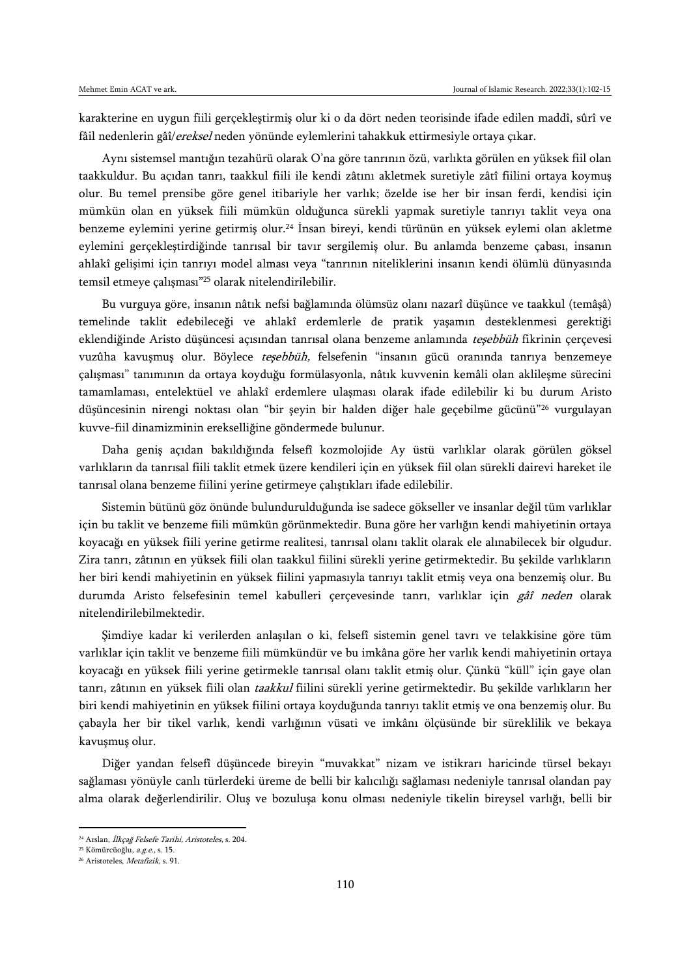karakterine en uygun fiili gerçekleştirmiş olur ki o da dört neden teorisinde ifade edilen maddî, sûrî ve fâil nedenlerin gâî/ereksel neden yönünde eylemlerini tahakkuk ettirmesiyle ortaya çıkar.

Aynı sistemsel mantığın tezahürü olarak O'na göre tanrının özü, varlıkta görülen en yüksek fiil olan taakkuldur. Bu açıdan tanrı, taakkul fiili ile kendi zâtını akletmek suretiyle zâtî fiilini ortaya koymuş olur. Bu temel prensibe göre genel itibariyle her varlık; özelde ise her bir insan ferdi, kendisi için mümkün olan en yüksek fiili mümkün olduğunca sürekli yapmak suretiyle tanrıyı taklit veya ona benzeme eylemini yerine getirmiş olur.<sup>24</sup> İnsan bireyi, kendi türünün en yüksek eylemi olan akletme eylemini gerçekleştirdiğinde tanrısal bir tavır sergilemiş olur. Bu anlamda benzeme çabası, insanın ahlakî gelişimi için tanrıyı model alması veya "tanrının niteliklerini insanın kendi ölümlü dünyasında temsil etmeye çalışması"<sup>25</sup> olarak nitelendirilebilir.

Bu vurguya göre, insanın nâtık nefsi bağlamında ölümsüz olanı nazarî düşünce ve taakkul (temâşâ) temelinde taklit edebileceği ve ahlakî erdemlerle de pratik yaşamın desteklenmesi gerektiği eklendiğinde Aristo düşüncesi açısından tanrısal olana benzeme anlamında teşebbüh fikrinin çerçevesi vuzûha kavuşmuş olur. Böylece teşebbüh, felsefenin "insanın gücü oranında tanrıya benzemeye çalışması" tanımının da ortaya koyduğu formülasyonla, nâtık kuvvenin kemâli olan aklileşme sürecini tamamlaması, entelektüel ve ahlakî erdemlere ulaşması olarak ifade edilebilir ki bu durum Aristo düşüncesinin nirengi noktası olan "bir şeyin bir halden diğer hale geçebilme gücünü"<sup>26</sup> vurgulayan kuvve-fiil dinamizminin erekselliğine göndermede bulunur.

Daha geniş açıdan bakıldığında felsefî kozmolojide Ay üstü varlıklar olarak görülen göksel varlıkların da tanrısal fiili taklit etmek üzere kendileri için en yüksek fiil olan sürekli dairevi hareket ile tanrısal olana benzeme fiilini yerine getirmeye çalıştıkları ifade edilebilir.

Sistemin bütünü göz önünde bulundurulduğunda ise sadece gökseller ve insanlar değil tüm varlıklar için bu taklit ve benzeme fiili mümkün görünmektedir. Buna göre her varlığın kendi mahiyetinin ortaya koyacağı en yüksek fiili yerine getirme realitesi, tanrısal olanı taklit olarak ele alınabilecek bir olgudur. Zira tanrı, zâtının en yüksek fiili olan taakkul fiilini sürekli yerine getirmektedir. Bu şekilde varlıkların her biri kendi mahiyetinin en yüksek fiilini yapmasıyla tanrıyı taklit etmiş veya ona benzemiş olur. Bu durumda Aristo felsefesinin temel kabulleri çerçevesinde tanrı, varlıklar için gâî neden olarak nitelendirilebilmektedir.

Şimdiye kadar ki verilerden anlaşılan o ki, felsefî sistemin genel tavrı ve telakkisine göre tüm varlıklar için taklit ve benzeme fiili mümkündür ve bu imkâna göre her varlık kendi mahiyetinin ortaya koyacağı en yüksek fiili yerine getirmekle tanrısal olanı taklit etmiş olur. Çünkü "küll" için gaye olan tanrı, zâtının en yüksek fiili olan taakkul fiilini sürekli yerine getirmektedir. Bu şekilde varlıkların her biri kendi mahiyetinin en yüksek fiilini ortaya koyduğunda tanrıyı taklit etmiş ve ona benzemiş olur. Bu çabayla her bir tikel varlık, kendi varlığının vüsati ve imkânı ölçüsünde bir süreklilik ve bekaya kavuşmuş olur.

Diğer yandan felsefî düşüncede bireyin "muvakkat" nizam ve istikrarı haricinde türsel bekayı sağlaması yönüyle canlı türlerdeki üreme de belli bir kalıcılığı sağlaması nedeniyle tanrısal olandan pay alma olarak değerlendirilir. Oluş ve bozuluşa konu olması nedeniyle tikelin bireysel varlığı, belli bir

<sup>&</sup>lt;sup>24</sup> Arslan, İlkçağ Felsefe Tarihi, Aristoteles, s. 204.

<sup>25</sup> Kömürcüoğlu, a.g.e., s. 15.

<sup>26</sup> Aristoteles, Metafizik, s. 91.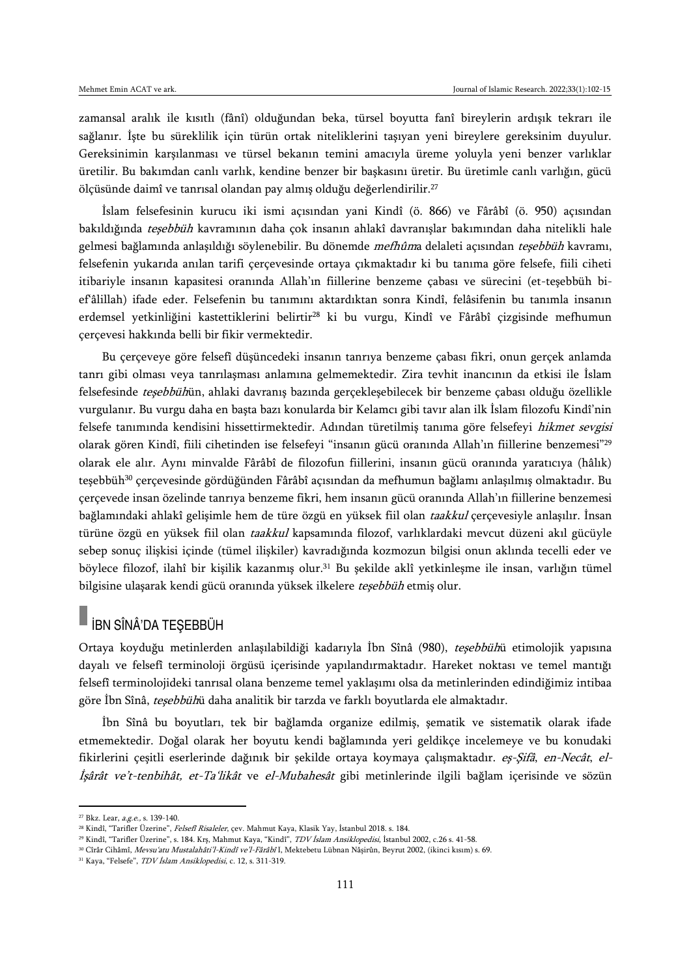zamansal aralık ile kısıtlı (fânî) olduğundan beka, türsel boyutta fanî bireylerin ardışık tekrarı ile sağlanır. İşte bu süreklilik için türün ortak niteliklerini taşıyan yeni bireylere gereksinim duyulur. Gereksinimin karşılanması ve türsel bekanın temini amacıyla üreme yoluyla yeni benzer varlıklar üretilir. Bu bakımdan canlı varlık, kendine benzer bir başkasını üretir. Bu üretimle canlı varlığın, gücü ölçüsünde daimî ve tanrısal olandan pay almış olduğu değerlendirilir.<sup>27</sup>

İslam felsefesinin kurucu iki ismi açısından yani Kindî (ö. 866) ve Fârâbî (ö. 950) açısından bakıldığında teşebbüh kavramının daha çok insanın ahlakî davranışlar bakımından daha nitelikli hale gelmesi bağlamında anlaşıldığı söylenebilir. Bu dönemde mefhûma delaleti açısından teşebbüh kavramı, felsefenin yukarıda anılan tarifi çerçevesinde ortaya çıkmaktadır ki bu tanıma göre felsefe, fiili ciheti itibariyle insanın kapasitesi oranında Allah'ın fiillerine benzeme çabası ve sürecini (et-teşebbüh bief'âlillah) ifade eder. Felsefenin bu tanımını aktardıktan sonra Kindî, felâsifenin bu tanımla insanın erdemsel yetkinliğini kastettiklerini belirtir<sup>28</sup> ki bu vurgu, Kindî ve Fârâbî çizgisinde mefhumun çerçevesi hakkında belli bir fikir vermektedir.

Bu çerçeveye göre felsefî düşüncedeki insanın tanrıya benzeme çabası fikri, onun gerçek anlamda tanrı gibi olması veya tanrılaşması anlamına gelmemektedir. Zira tevhit inancının da etkisi ile İslam felsefesinde teşebbühün, ahlaki davranış bazında gerçekleşebilecek bir benzeme çabası olduğu özellikle vurgulanır. Bu vurgu daha en başta bazı konularda bir Kelamcı gibi tavır alan ilk İslam filozofu Kindî'nin felsefe tanımında kendisini hissettirmektedir. Adından türetilmiş tanıma göre felsefeyi hikmet sevgisi olarak gören Kindî, fiili cihetinden ise felsefeyi "insanın gücü oranında Allah'ın fiillerine benzemesi"<sup>29</sup> olarak ele alır. Aynı minvalde Fârâbî de filozofun fiillerini, insanın gücü oranında yaratıcıya (hâlık) teşebbüh<sup>30</sup> çerçevesinde gördüğünden Fârâbî açısından da mefhumun bağlamı anlaşılmış olmaktadır. Bu çerçevede insan özelinde tanrıya benzeme fikri, hem insanın gücü oranında Allah'ın fiillerine benzemesi bağlamındaki ahlakî gelişimle hem de türe özgü en yüksek fiil olan taakkul çerçevesiyle anlaşılır. İnsan türüne özgü en yüksek fiil olan taakkul kapsamında filozof, varlıklardaki mevcut düzeni akıl gücüyle sebep sonuç ilişkisi içinde (tümel ilişkiler) kavradığında kozmozun bilgisi onun aklında tecelli eder ve böylece filozof, ilahî bir kişilik kazanmış olur.<sup>31</sup> Bu şekilde aklî yetkinleşme ile insan, varlığın tümel bilgisine ulaşarak kendi gücü oranında yüksek ilkelere teşebbüh etmiş olur.

## İBN SÎNÂ'DA TEŞEBBÜH

Ortaya koyduğu metinlerden anlaşılabildiği kadarıyla İbn Sînâ (980), teşebbühü etimolojik yapısına dayalı ve felsefî terminoloji örgüsü içerisinde yapılandırmaktadır. Hareket noktası ve temel mantığı felsefî terminolojideki tanrısal olana benzeme temel yaklaşımı olsa da metinlerinden edindiğimiz intibaa göre İbn Sînâ, *teşebbüh*ü daha analitik bir tarzda ve farklı boyutlarda ele almaktadır.

İbn Sînâ bu boyutları, tek bir bağlamda organize edilmiş, şematik ve sistematik olarak ifade etmemektedir. Doğal olarak her boyutu kendi bağlamında yeri geldikçe incelemeye ve bu konudaki fikirlerini çeşitli eserlerinde dağınık bir şekilde ortaya koymaya çalışmaktadır. eş-Şifâ, en-Necât, el-İşârât ve't-tenbihât, et-Ta'likât ve el-Mubahesât gibi metinlerinde ilgili bağlam içerisinde ve sözün

<sup>&</sup>lt;sup>27</sup> Bkz. Lear, *a.g.e.*, s. 139-140.

<sup>&</sup>lt;sup>28</sup> Kindî, "Tarifler Üzerine", Felsefî Risaleler, çev. Mahmut Kaya, Klasik Yay, İstanbul 2018. s. 184.

<sup>&</sup>lt;sup>29</sup> Kindî, "Tarifler Üzerine", s. 184. Krş, Mahmut Kaya, "Kindî", TDV İslam Ansiklopedisi, İstanbul 2002, c.26 s. 41-58.

<sup>&</sup>lt;sup>30</sup> Cîrâr Cihâmî, Mevsu'atu Mustalahâti'l-Kindî ve'l-Fârâbî I, Mektebetu Lübnan Nâşirûn, Beyrut 2002, (ikinci kısım) s. 69.

<sup>&</sup>lt;sup>31</sup> Kaya, "Felsefe", *TDV İslam Ansiklopedisi*, c. 12, s. 311-319.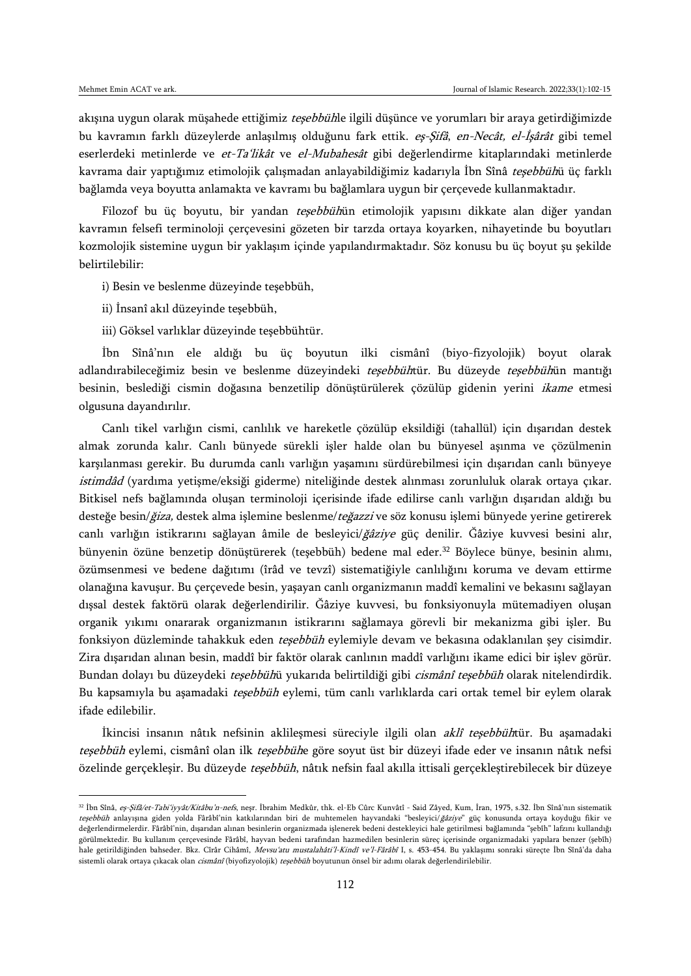$\overline{a}$ 

akışına uygun olarak müşahede ettiğimiz teşebbühle ilgili düşünce ve yorumları bir araya getirdiğimizde bu kavramın farklı düzeylerde anlaşılmış olduğunu fark ettik. es-Sifâ, en-Necât, el-İşârât gibi temel eserlerdeki metinlerde ve et-Ta'likât ve el-Mubahesât gibi değerlendirme kitaplarındaki metinlerde kavrama dair yaptığımız etimolojik çalışmadan anlayabildiğimiz kadarıyla İbn Sînâ teşebbühü üç farklı bağlamda veya boyutta anlamakta ve kavramı bu bağlamlara uygun bir çerçevede kullanmaktadır.

Filozof bu üç boyutu, bir yandan tesebbühün etimolojik yapısını dikkate alan diğer yandan kavramın felsefi terminoloji çerçevesini gözeten bir tarzda ortaya koyarken, nihayetinde bu boyutları kozmolojik sistemine uygun bir yaklaşım içinde yapılandırmaktadır. Söz konusu bu üç boyut şu şekilde belirtilebilir:

- i) Besin ve beslenme düzeyinde teşebbüh,
- ii) İnsanî akıl düzeyinde teşebbüh,
- iii) Göksel varlıklar düzeyinde teşebbühtür.

İbn Sînâ'nın ele aldığı bu üç boyutun ilki cismânî (biyo-fizyolojik) boyut olarak adlandırabileceğimiz besin ve beslenme düzeyindeki teşebbühtür. Bu düzeyde teşebbühün mantığı besinin, beslediği cismin doğasına benzetilip dönüştürülerek çözülüp gidenin yerini ikame etmesi olgusuna dayandırılır.

Canlı tikel varlığın cismi, canlılık ve hareketle çözülüp eksildiği (tahallül) için dışarıdan destek almak zorunda kalır. Canlı bünyede sürekli işler halde olan bu bünyesel aşınma ve çözülmenin karşılanması gerekir. Bu durumda canlı varlığın yaşamını sürdürebilmesi için dışarıdan canlı bünyeye istimdâd (yardıma yetişme/eksiği giderme) niteliğinde destek alınması zorunluluk olarak ortaya çıkar. Bitkisel nefs bağlamında oluşan terminoloji içerisinde ifade edilirse canlı varlığın dışarıdan aldığı bu desteğe besin/*ğiza*, destek alma işlemine beslenme/teğazzi ve söz konusu işlemi bünyede yerine getirerek canlı varlığın istikrarını sağlayan âmile de besleyici/ğâziye güç denilir. Ğâziye kuvvesi besini alır, bünyenin özüne benzetip dönüştürerek (teşebbüh) bedene mal eder.<sup>32</sup> Böylece bünye, besinin alımı, özümsenmesi ve bedene dağıtımı (îrâd ve tevzî) sistematiğiyle canlılığını koruma ve devam ettirme olanağına kavuşur. Bu çerçevede besin, yaşayan canlı organizmanın maddî kemalini ve bekasını sağlayan dışsal destek faktörü olarak değerlendirilir. Ğâziye kuvvesi, bu fonksiyonuyla mütemadiyen oluşan organik yıkımı onararak organizmanın istikrarını sağlamaya görevli bir mekanizma gibi işler. Bu fonksiyon düzleminde tahakkuk eden teşebbüh eylemiyle devam ve bekasına odaklanılan şey cisimdir. Zira dışarıdan alınan besin, maddî bir faktör olarak canlının maddî varlığını ikame edici bir işlev görür. Bundan dolayı bu düzeydeki teşebbühü yukarıda belirtildiği gibi cismânî teşebbüh olarak nitelendirdik. Bu kapsamıyla bu aşamadaki teşebbüh eylemi, tüm canlı varlıklarda cari ortak temel bir eylem olarak ifade edilebilir.

İkincisi insanın nâtık nefsinin aklileşmesi süreciyle ilgili olan aklî teşebbühtür. Bu aşamadaki teşebbüh eylemi, cismânî olan ilk teşebbühe göre soyut üst bir düzeyi ifade eder ve insanın nâtık nefsi özelinde gerçekleşir. Bu düzeyde teşebbüh, nâtık nefsin faal akılla ittisali gerçekleştirebilecek bir düzeye

<sup>&</sup>lt;sup>32</sup> İbn Sînâ, eş-Şifâ/et-Tabi'iyyât/Kitâbu'n-nefs, neşr. İbrahim Medkûr, thk. el-Eb Cûrc Kunvâtî - Said Zâyed, Kum, İran, 1975, s.32. İbn Sînâ'nın sistematik teşebbüh anlayışına giden yolda Fârâbî'nin katkılarından biri de muhtemelen hayvandaki "besleyici/ğâziye" güç konusunda ortaya koyduğu fikir ve değerlendirmelerdir. Fârâbî'nin, dışarıdan alınan besinlerin organizmada işlenerek bedeni destekleyici hale getirilmesi bağlamında "şebîh" lafzını kullandığı görülmektedir. Bu kullanım çerçevesinde Fârâbî, hayvan bedeni tarafından hazmedilen besinlerin süreç içerisinde organizmadaki yapılara benzer (şebîh) hale getirildiğinden bahseder. Bkz. Cîrâr Cihâmî, Mevsu'atu mustalahâti'l-Kindî ve'l-Fârâbî I, s. 453-454. Bu yaklaşımı sonraki sürecte İbn Sînâ'da daha sistemli olarak ortaya çıkacak olan cismânî (biyofizyolojik) teşebbüh boyutunun önsel bir adımı olarak değerlendirilebilir.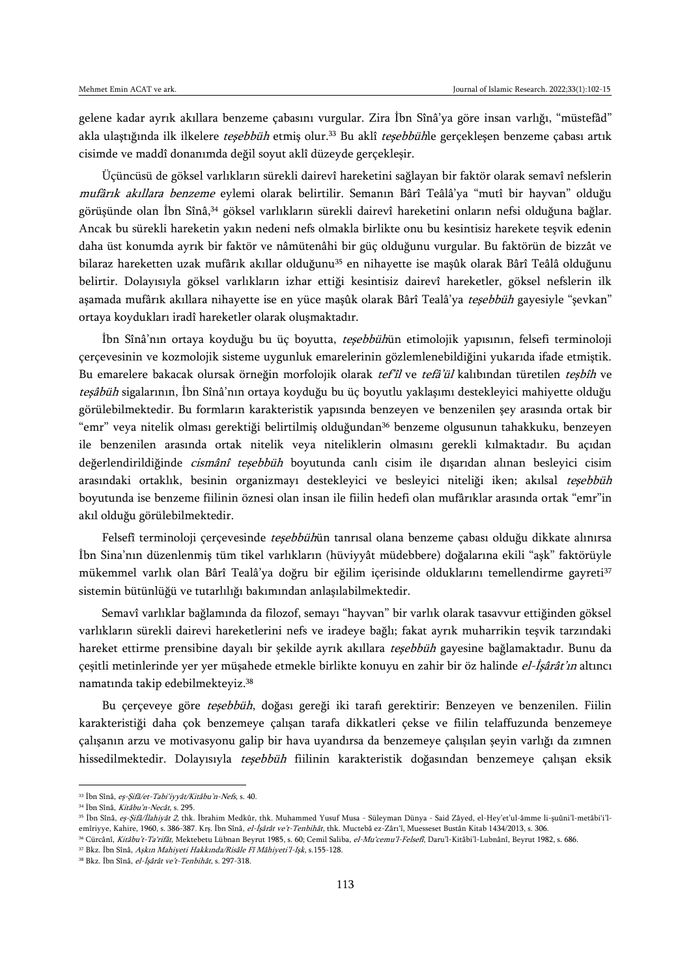gelene kadar ayrık akıllara benzeme çabasını vurgular. Zira İbn Sînâ'ya göre insan varlığı, "müstefâd" akla ulaştığında ilk ilkelere teşebbüh etmiş olur.<sup>33</sup> Bu aklî teşebbühle gerçekleşen benzeme çabası artık cisimde ve maddî donanımda değil soyut aklî düzeyde gerçekleşir.

Üçüncüsü de göksel varlıkların sürekli dairevî hareketini sağlayan bir faktör olarak semavî nefslerin mufârık akıllara benzeme eylemi olarak belirtilir. Semanın Bârî Teâlâ'ya "mutî bir hayvan" olduğu görüşünde olan İbn Sînâ,<sup>34</sup> göksel varlıkların sürekli dairevî hareketini onların nefsi olduğuna bağlar. Ancak bu sürekli hareketin yakın nedeni nefs olmakla birlikte onu bu kesintisiz harekete teşvik edenin daha üst konumda ayrık bir faktör ve nâmütenâhi bir güç olduğunu vurgular. Bu faktörün de bizzât ve bilaraz hareketten uzak mufârık akıllar olduğunu<sup>35</sup> en nihayette ise maşûk olarak Bârî Teâlâ olduğunu belirtir. Dolayısıyla göksel varlıkların izhar ettiği kesintisiz dairevî hareketler, göksel nefslerin ilk aşamada mufârık akıllara nihayette ise en yüce maşûk olarak Bârî Tealâ'ya teşebbüh gayesiyle "şevkan" ortaya koydukları iradî hareketler olarak oluşmaktadır.

İbn Sînâ'nın ortaya koyduğu bu üç boyutta, teşebbühün etimolojik yapısının, felsefi terminoloji çerçevesinin ve kozmolojik sisteme uygunluk emarelerinin gözlemlenebildiğini yukarıda ifade etmiştik. Bu emarelere bakacak olursak örneğin morfolojik olarak tef'îl ve tefâ'ül kalıbından türetilen teşbîh ve teşâbüh sigalarının, İbn Sînâ'nın ortaya koyduğu bu üç boyutlu yaklaşımı destekleyici mahiyette olduğu görülebilmektedir. Bu formların karakteristik yapısında benzeyen ve benzenilen şey arasında ortak bir "emr" veya nitelik olması gerektiği belirtilmiş olduğundan<sup>36</sup> benzeme olgusunun tahakkuku, benzeyen ile benzenilen arasında ortak nitelik veya niteliklerin olmasını gerekli kılmaktadır. Bu açıdan değerlendirildiğinde cismânî teşebbüh boyutunda canlı cisim ile dışarıdan alınan besleyici cisim arasındaki ortaklık, besinin organizmayı destekleyici ve besleyici niteliği iken; akılsal teşebbüh boyutunda ise benzeme fiilinin öznesi olan insan ile fiilin hedefi olan mufârıklar arasında ortak "emr"in akıl olduğu görülebilmektedir.

Felsefî terminoloji çerçevesinde teşebbühün tanrısal olana benzeme çabası olduğu dikkate alınırsa İbn Sina'nın düzenlenmiş tüm tikel varlıkların (hüviyyât müdebbere) doğalarına ekili "aşk" faktörüyle mükemmel varlık olan Bârî Tealâ'ya doğru bir eğilim içerisinde olduklarını temellendirme gayreti<sup>37</sup> sistemin bütünlüğü ve tutarlılığı bakımından anlaşılabilmektedir.

Semavî varlıklar bağlamında da filozof, semayı "hayvan" bir varlık olarak tasavvur ettiğinden göksel varlıkların sürekli dairevi hareketlerini nefs ve iradeye bağlı; fakat ayrık muharrikin teşvik tarzındaki hareket ettirme prensibine dayalı bir şekilde ayrık akıllara teşebbüh gayesine bağlamaktadır. Bunu da çeşitli metinlerinde yer yer müşahede etmekle birlikte konuyu en zahir bir öz halinde el-İşârât'ın altıncı namatında takip edebilmekteyiz.<sup>38</sup>

Bu çerçeveye göre *teşebbüh*, doğası gereği iki tarafı gerektirir: Benzeyen ve benzenilen. Fiilin karakteristiği daha çok benzemeye çalışan tarafa dikkatleri çekse ve fiilin telaffuzunda benzemeye çalışanın arzu ve motivasyonu galip bir hava uyandırsa da benzemeye çalışılan şeyin varlığı da zımnen hissedilmektedir. Dolayısıyla teşebbüh fiilinin karakteristik doğasından benzemeye çalışan eksik

<sup>33</sup> İbn Sînâ, eş-Şifâ/et-Tabi'iyyât/Kitâbu'n-Nefs, s. 40.

<sup>34</sup> İbn Sînâ, Kitâbu'n-Necât, s. 295.

<sup>&</sup>lt;sup>35</sup> İbn Sînâ, eş-Şifâ/İlahiyât 2, thk. İbrahim Medkûr, thk. Muhammed Yusuf Musa - Süleyman Dünya - Said Zâyed, el-Hey'et'ul-âmme li-şuûni'l-metâbi'i'lemîriyye, Kahire, 1960, s. 386-387. Krş. İbn Sînâ, el-İşârât ve't-Tenbihât, thk. Muctebâ ez-Zârı'î, Muesseset Bustân Kitab 1434/2013, s. 306.

<sup>&</sup>lt;sup>36</sup> Cürcânî, Kitâbu't-Ta'rifât, Mektebetu Lübnan Beyrut 1985, s. 60; Cemil Saliba, el-Mu'cemu'l-Felsefî, Daru'l-Kitâbi'l-Lubnânî, Beyrut 1982, s. 686.

<sup>37</sup> Bkz. İbn Sînâ, Aşkın Mahiyeti Hakkında/Risâle Fî Mâhiyeti'l-Işk, s.155-128.

<sup>&</sup>lt;sup>38</sup> Bkz. İbn Sînâ, el-İşârât ve't-Tenbihât, s. 297-318.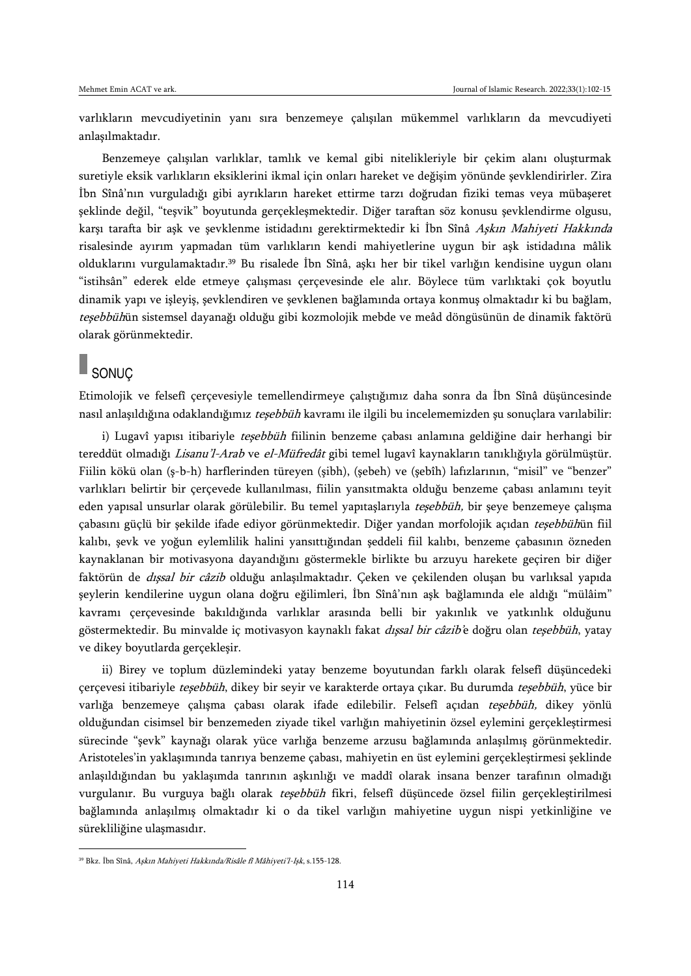varlıkların mevcudiyetinin yanı sıra benzemeye çalışılan mükemmel varlıkların da mevcudiyeti anlaşılmaktadır.

Benzemeye çalışılan varlıklar, tamlık ve kemal gibi nitelikleriyle bir çekim alanı oluşturmak suretiyle eksik varlıkların eksiklerini ikmal için onları hareket ve değişim yönünde şevklendirirler. Zira İbn Sînâ'nın vurguladığı gibi ayrıkların hareket ettirme tarzı doğrudan fiziki temas veya mübaşeret şeklinde değil, "teşvik" boyutunda gerçekleşmektedir. Diğer taraftan söz konusu şevklendirme olgusu, karşı tarafta bir aşk ve şevklenme istidadını gerektirmektedir ki İbn Sînâ Aşkın Mahiyeti Hakkında risalesinde ayırım yapmadan tüm varlıkların kendi mahiyetlerine uygun bir aşk istidadına mâlik olduklarını vurgulamaktadır.<sup>39</sup> Bu risalede İbn Sînâ, aşkı her bir tikel varlığın kendisine uygun olanı "istihsân" ederek elde etmeye çalışması çerçevesinde ele alır. Böylece tüm varlıktaki çok boyutlu dinamik yapı ve işleyiş, şevklendiren ve şevklenen bağlamında ortaya konmuş olmaktadır ki bu bağlam, teşebbühün sistemsel dayanağı olduğu gibi kozmolojik mebde ve meâd döngüsünün de dinamik faktörü olarak görünmektedir.

## SONUÇ

 $\overline{\phantom{a}}$ 

Etimolojik ve felsefî çerçevesiyle temellendirmeye çalıştığımız daha sonra da İbn Sînâ düşüncesinde nasıl anlaşıldığına odaklandığımız teşebbüh kavramı ile ilgili bu incelememizden şu sonuçlara varılabilir:

i) Lugavî yapısı itibariyle teşebbüh fiilinin benzeme çabası anlamına geldiğine dair herhangi bir tereddüt olmadığı *Lisanu'l-Arab* ve el-Müfredât gibi temel lugavî kaynakların tanıklığıyla görülmüştür. Fiilin kökü olan (ş-b-h) harflerinden türeyen (şibh), (şebeh) ve (şebîh) lafızlarının, "misil" ve "benzer" varlıkları belirtir bir çerçevede kullanılması, fiilin yansıtmakta olduğu benzeme çabası anlamını teyit eden yapısal unsurlar olarak görülebilir. Bu temel yapıtaşlarıyla teşebbüh, bir şeye benzemeye çalışma çabasını güçlü bir şekilde ifade ediyor görünmektedir. Diğer yandan morfolojik açıdan teşebbühün fiil kalıbı, şevk ve yoğun eylemlilik halini yansıttığından şeddeli fiil kalıbı, benzeme çabasının özneden kaynaklanan bir motivasyona dayandığını göstermekle birlikte bu arzuyu harekete geçiren bir diğer faktörün de *dışsal bir câzib* olduğu anlaşılmaktadır. Çeken ve çekilenden oluşan bu varlıksal yapıda şeylerin kendilerine uygun olana doğru eğilimleri, İbn Sînâ'nın aşk bağlamında ele aldığı "mülâim" kavramı çerçevesinde bakıldığında varlıklar arasında belli bir yakınlık ve yatkınlık olduğunu göstermektedir. Bu minvalde iç motivasyon kaynaklı fakat dışsal bir câzib'e doğru olan teşebbüh, yatay ve dikey boyutlarda gerçekleşir.

ii) Birey ve toplum düzlemindeki yatay benzeme boyutundan farklı olarak felsefî düşüncedeki çerçevesi itibariyle teşebbüh, dikey bir seyir ve karakterde ortaya çıkar. Bu durumda teşebbüh, yüce bir varlığa benzemeye çalışma çabası olarak ifade edilebilir. Felsefî açıdan tesebbüh, dikey yönlü olduğundan cisimsel bir benzemeden ziyade tikel varlığın mahiyetinin özsel eylemini gerçekleştirmesi sürecinde "şevk" kaynağı olarak yüce varlığa benzeme arzusu bağlamında anlaşılmış görünmektedir. Aristoteles'in yaklaşımında tanrıya benzeme çabası, mahiyetin en üst eylemini gerçekleştirmesi şeklinde anlaşıldığından bu yaklaşımda tanrının aşkınlığı ve maddî olarak insana benzer tarafının olmadığı vurgulanır. Bu vurguya bağlı olarak teşebbüh fikri, felsefî düşüncede özsel fiilin gerçekleştirilmesi bağlamında anlaşılmış olmaktadır ki o da tikel varlığın mahiyetine uygun nispi yetkinliğine ve sürekliliğine ulaşmasıdır.

<sup>&</sup>lt;sup>39</sup> Bkz. İbn Sînâ, Aşkın Mahiyeti Hakkında/Risâle fî Mâhiyeti'l-Işk, s.155-128.